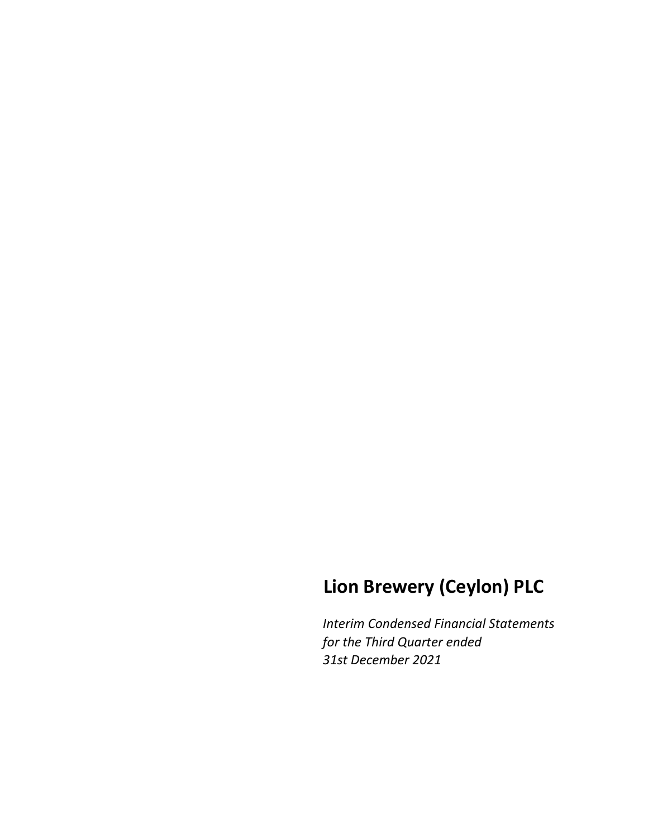# **Lion Brewery (Ceylon) PLC**

*Interim Condensed Financial Statements for the Third Quarter ended 31st December 2021*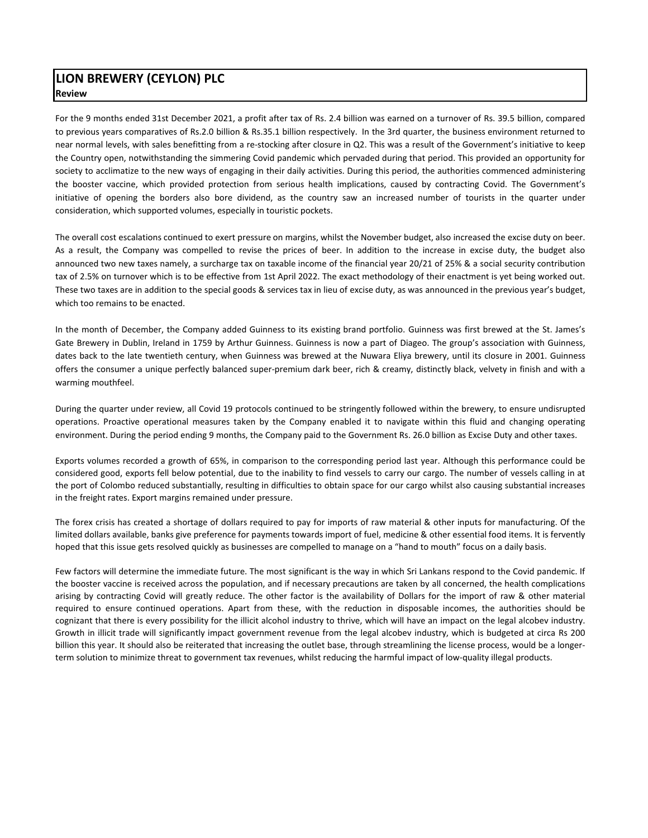## **LION BREWERY (CEYLON) PLC Review**

For the 9 months ended 31st December 2021, a profit after tax of Rs. 2.4 billion was earned on a turnover of Rs. 39.5 billion, compared to previous years comparatives of Rs.2.0 billion & Rs.35.1 billion respectively. In the 3rd quarter, the business environment returned to near normal levels, with sales benefitting from a re-stocking after closure in Q2. This was a result of the Government's initiative to keep the Country open, notwithstanding the simmering Covid pandemic which pervaded during that period. This provided an opportunity for society to acclimatize to the new ways of engaging in their daily activities. During this period, the authorities commenced administering the booster vaccine, which provided protection from serious health implications, caused by contracting Covid. The Government's initiative of opening the borders also bore dividend, as the country saw an increased number of tourists in the quarter under consideration, which supported volumes, especially in touristic pockets.

The overall cost escalations continued to exert pressure on margins, whilst the November budget, also increased the excise duty on beer. As a result, the Company was compelled to revise the prices of beer. In addition to the increase in excise duty, the budget also announced two new taxes namely, a surcharge tax on taxable income of the financial year 20/21 of 25% & a social security contribution tax of 2.5% on turnover which is to be effective from 1st April 2022. The exact methodology of their enactment is yet being worked out. These two taxes are in addition to the special goods & services tax in lieu of excise duty, as was announced in the previous year's budget, which too remains to be enacted.

In the month of December, the Company added Guinness to its existing brand portfolio. Guinness was first brewed at the St. James's Gate Brewery in Dublin, Ireland in 1759 by Arthur Guinness. Guinness is now a part of Diageo. The group's association with Guinness, dates back to the late twentieth century, when Guinness was brewed at the Nuwara Eliya brewery, until its closure in 2001. Guinness offers the consumer a unique perfectly balanced super‐premium dark beer, rich & creamy, distinctly black, velvety in finish and with a warming mouthfeel.

During the quarter under review, all Covid 19 protocols continued to be stringently followed within the brewery, to ensure undisrupted operations. Proactive operational measures taken by the Company enabled it to navigate within this fluid and changing operating environment. During the period ending 9 months, the Company paid to the Government Rs. 26.0 billion as Excise Duty and other taxes.

Exports volumes recorded a growth of 65%, in comparison to the corresponding period last year. Although this performance could be considered good, exports fell below potential, due to the inability to find vessels to carry our cargo. The number of vessels calling in at the port of Colombo reduced substantially, resulting in difficulties to obtain space for our cargo whilst also causing substantial increases in the freight rates. Export margins remained under pressure.

The forex crisis has created a shortage of dollars required to pay for imports of raw material & other inputs for manufacturing. Of the limited dollars available, banks give preference for payments towards import of fuel, medicine & other essential food items. It is fervently hoped that this issue gets resolved quickly as businesses are compelled to manage on a "hand to mouth" focus on a daily basis.

Few factors will determine the immediate future. The most significant is the way in which Sri Lankans respond to the Covid pandemic. If the booster vaccine is received across the population, and if necessary precautions are taken by all concerned, the health complications arising by contracting Covid will greatly reduce. The other factor is the availability of Dollars for the import of raw & other material required to ensure continued operations. Apart from these, with the reduction in disposable incomes, the authorities should be cognizant that there is every possibility for the illicit alcohol industry to thrive, which will have an impact on the legal alcobev industry. Growth in illicit trade will significantly impact government revenue from the legal alcobev industry, which is budgeted at circa Rs 200 billion this year. It should also be reiterated that increasing the outlet base, through streamlining the license process, would be a longerterm solution to minimize threat to government tax revenues, whilst reducing the harmful impact of low‐quality illegal products.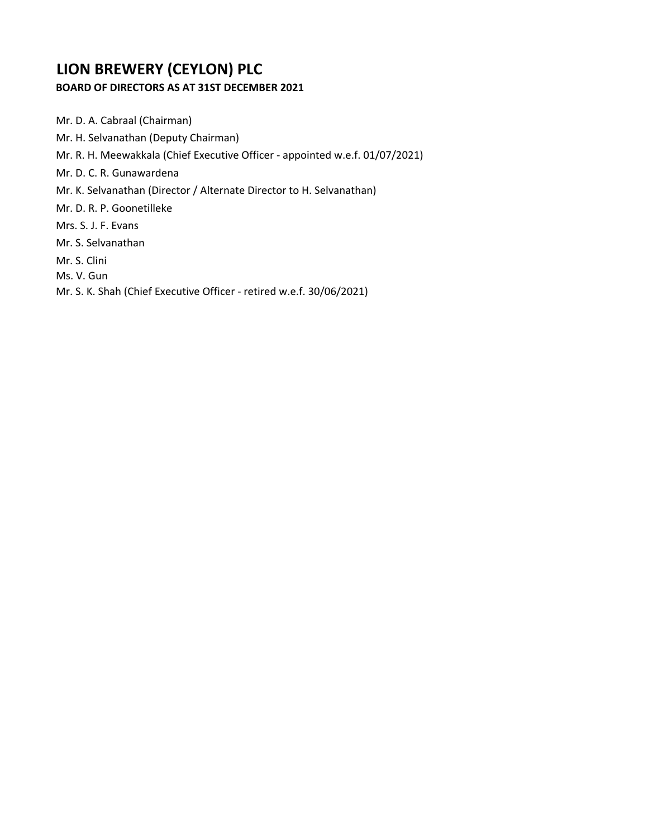# **LION BREWERY (CEYLON) PLC**

# **BOARD OF DIRECTORS AS AT 31ST DECEMBER 2021**

Mr. D. A. Cabraal (Chairman) Mr. H. Selvanathan (Deputy Chairman) Mr. R. H. Meewakkala (Chief Executive Officer ‐ appointed w.e.f. 01/07/2021) Mr. D. C. R. Gunawardena Mr. K. Selvanathan (Director / Alternate Director to H. Selvanathan) Mr. D. R. P. Goonetilleke Mrs. S. J. F. Evans Mr. S. Selvanathan Mr. S. Clini Ms. V. Gun Mr. S. K. Shah (Chief Executive Officer ‐ retired w.e.f. 30/06/2021)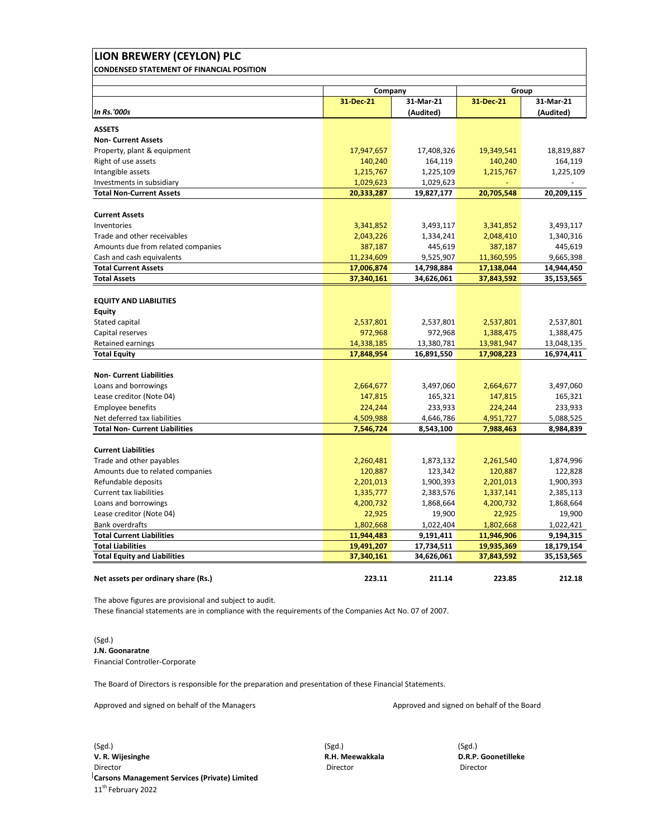| LION BREWERY (CEYLON) PLC                                |                          |                          |                          |                          |  |
|----------------------------------------------------------|--------------------------|--------------------------|--------------------------|--------------------------|--|
| <b>CONDENSED STATEMENT OF FINANCIAL POSITION</b>         |                          |                          |                          |                          |  |
|                                                          |                          |                          |                          |                          |  |
|                                                          | Company<br>31-Dec-21     | 31-Mar-21                | 31-Dec-21                | Group<br>31-Mar-21       |  |
| <b>In Rs.'000s</b>                                       |                          | (Audited)                |                          | (Audited)                |  |
| <b>ASSETS</b>                                            |                          |                          |                          |                          |  |
| <b>Non- Current Assets</b>                               |                          |                          |                          |                          |  |
| Property, plant & equipment                              | 17,947,657               | 17,408,326               | 19,349,541               | 18,819,887               |  |
| Right of use assets                                      | 140,240                  | 164,119                  | 140,240                  | 164,119                  |  |
| Intangible assets                                        | 1,215,767                | 1,225,109                | 1,215,767                | 1,225,109                |  |
| Investments in subsidiary                                | 1,029,623                | 1,029,623                |                          | $\blacksquare$           |  |
| <b>Total Non-Current Assets</b>                          | 20,333,287               | 19,827,177               | 20,705,548               | 20,209,115               |  |
|                                                          |                          |                          |                          |                          |  |
| <b>Current Assets</b><br>Inventories                     |                          |                          |                          |                          |  |
| Trade and other receivables                              | 3,341,852                | 3,493,117                | 3,341,852                | 3,493,117                |  |
|                                                          | 2,043,226                | 1,334,241                | 2,048,410                | 1,340,316                |  |
| Amounts due from related companies                       | 387,187                  | 445,619                  | 387,187                  | 445,619                  |  |
| Cash and cash equivalents<br><b>Total Current Assets</b> | 11,234,609<br>17,006,874 | 9,525,907                | 11,360,595<br>17,138,044 | 9,665,398                |  |
| <b>Total Assets</b>                                      | 37,340,161               | 14,798,884<br>34,626,061 | 37,843,592               | 14,944,450<br>35,153,565 |  |
|                                                          |                          |                          |                          |                          |  |
| <b>EQUITY AND LIABILITIES</b>                            |                          |                          |                          |                          |  |
| <b>Equity</b>                                            |                          |                          |                          |                          |  |
| Stated capital                                           | 2,537,801                | 2,537,801                | 2,537,801                | 2,537,801                |  |
| Capital reserves                                         | 972,968                  | 972,968                  | 1,388,475                | 1,388,475                |  |
| <b>Retained earnings</b>                                 | 14,338,185               | 13,380,781               | 13,981,947               | 13,048,135               |  |
| <b>Total Equity</b>                                      | 17,848,954               | 16,891,550               | 17,908,223               | 16,974,411               |  |
| <b>Non- Current Liabilities</b>                          |                          |                          |                          |                          |  |
| Loans and borrowings                                     |                          |                          |                          |                          |  |
| Lease creditor (Note 04)                                 | 2,664,677<br>147,815     | 3,497,060                | 2,664,677                | 3,497,060<br>165,321     |  |
| <b>Employee benefits</b>                                 | 224,244                  | 165,321<br>233,933       | 147,815<br>224,244       | 233,933                  |  |
| Net deferred tax liabilities                             | 4,509,988                | 4,646,786                | 4,951,727                | 5,088,525                |  |
| <b>Total Non- Current Liabilities</b>                    | 7,546,724                | 8,543,100                | 7,988,463                | 8,984,839                |  |
|                                                          |                          |                          |                          |                          |  |
| <b>Current Liabilities</b>                               |                          |                          |                          |                          |  |
| Trade and other payables                                 | 2,260,481                | 1,873,132                | 2,261,540                | 1,874,996                |  |
| Amounts due to related companies                         | 120,887                  | 123,342                  | 120,887                  | 122,828                  |  |
| Refundable deposits                                      | 2,201,013                | 1,900,393                | 2,201,013                | 1,900,393                |  |
| <b>Current tax liabilities</b>                           | 1,335,777                | 2,383,576                | 1,337,141                | 2,385,113                |  |
| Loans and borrowings                                     | 4,200,732                | 1,868,664                | 4,200,732                | 1,868,664                |  |
| Lease creditor (Note 04)                                 | 22,925                   | 19,900                   | 22,925                   | 19,900                   |  |
| <b>Bank overdrafts</b>                                   | 1,802,668                | 1,022,404                | 1,802,668                | 1,022,421                |  |
| <b>Total Current Liabilities</b>                         | 11,944,483               | 9,191,411                | 11,946,906               | 9,194,315                |  |
| <b>Total Liabilities</b>                                 | 19,491,207               | 17,734,511               | 19,935,369               | 18,179,154               |  |
| <b>Total Equity and Liabilities</b>                      | 37,340,161               | 34,626,061               | 37,843,592               | 35,153,565               |  |
|                                                          |                          |                          |                          |                          |  |
| Net assets per ordinary share (Rs.)                      | 223.11                   | 211.14                   | 223.85                   | 212.18                   |  |

The above figures are provisional and subject to audit.

These financial statements are in compliance with the requirements of the Companies Act No. 07 of 2007.

(Sgd.) **J.N. Goonaratne** Financial Controller‐Corporate

The Board of Directors is responsible for the preparation and presentation of these Financial Statements.

Approved and signed on behalf of the Managers Approved and signed on behalf of the Board

(Sgd.) (Sgd.) (Sgd.) **V. R. Wijesinghe R.H. Meewakkala D.R.P. Goonetilleke** Director Director Director **Carsons Management Services (Private) Limited** 11<sup>th</sup> February 2022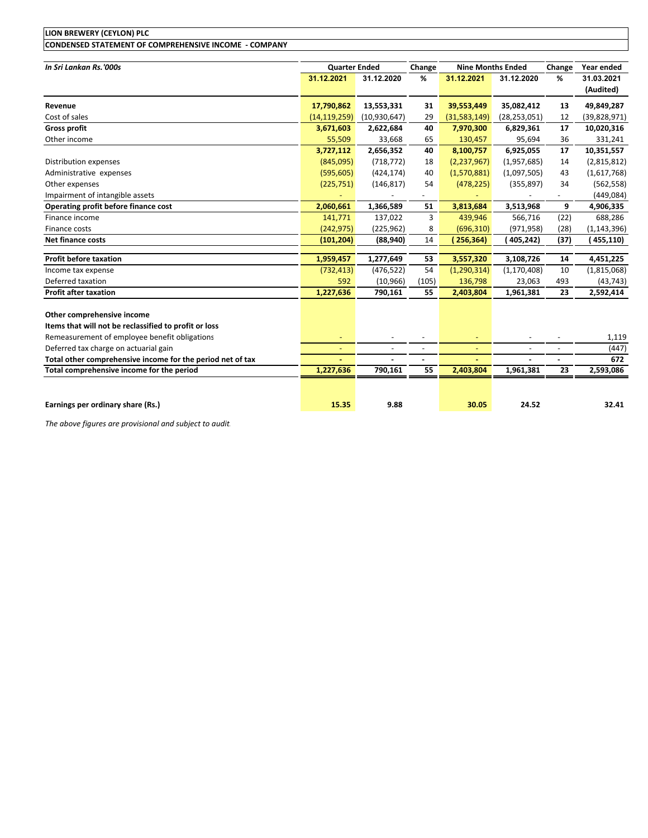| LION BREWERY (CEYLON) PLC                                  |                      |                          |                |                |                          |                |                         |
|------------------------------------------------------------|----------------------|--------------------------|----------------|----------------|--------------------------|----------------|-------------------------|
| CONDENSED STATEMENT OF COMPREHENSIVE INCOME - COMPANY      |                      |                          |                |                |                          |                |                         |
| In Sri Lankan Rs.'000s                                     | <b>Quarter Ended</b> |                          | Change         |                | <b>Nine Months Ended</b> | Change         | Year ended              |
|                                                            | 31.12.2021           | 31.12.2020               | %              | 31.12.2021     | 31.12.2020               | %              | 31.03.2021<br>(Audited) |
| Revenue                                                    | 17,790,862           | 13,553,331               | 31             | 39,553,449     | 35,082,412               | 13             | 49,849,287              |
| Cost of sales                                              | (14, 119, 259)       | (10,930,647)             | 29             | (31,583,149)   | (28, 253, 051)           | 12             | (39,828,971)            |
| <b>Gross profit</b>                                        | 3,671,603            | 2,622,684                | 40             | 7,970,300      | 6,829,361                | 17             | 10,020,316              |
| Other income                                               | 55,509               | 33,668                   | 65             | 130,457        | 95,694                   | 36             | 331,241                 |
|                                                            | 3,727,112            | 2,656,352                | 40             | 8,100,757      | 6,925,055                | 17             | 10,351,557              |
| Distribution expenses                                      | (845,095)            | (718, 772)               | 18             | (2, 237, 967)  | (1,957,685)              | 14             | (2,815,812)             |
| Administrative expenses                                    | (595, 605)           | (424, 174)               | 40             | (1,570,881)    | (1,097,505)              | 43             | (1,617,768)             |
| Other expenses                                             | (225, 751)           | (146, 817)               | 54             | (478, 225)     | (355, 897)               | 34             | (562, 558)              |
| Impairment of intangible assets                            |                      |                          |                |                |                          | $\blacksquare$ | (449, 084)              |
| Operating profit before finance cost                       | 2,060,661            | 1,366,589                | 51             | 3,813,684      | 3,513,968                | 9              | 4,906,335               |
| Finance income                                             | 141,771              | 137,022                  | 3              | 439,946        | 566,716                  | (22)           | 688,286                 |
| Finance costs                                              | (242, 975)           | (225, 962)               | 8              | (696, 310)     | (971, 958)               | (28)           | (1, 143, 396)           |
| <b>Net finance costs</b>                                   | (101, 204)           | (88, 940)                | 14             | 256,364)       | (405,242)                | (37)           | (455,110)               |
| <b>Profit before taxation</b>                              | 1,959,457            | 1,277,649                | 53             | 3,557,320      | 3,108,726                | 14             | 4,451,225               |
| Income tax expense                                         | (732, 413)           | (476, 522)               | 54             | (1, 290, 314)  | (1, 170, 408)            | 10             | (1,815,068)             |
| Deferred taxation                                          | 592                  | (10, 966)                | (105)          | 136,798        | 23,063                   | 493            | (43, 743)               |
| <b>Profit after taxation</b>                               | 1,227,636            | 790,161                  | 55             | 2,403,804      | 1,961,381                | 23             | 2,592,414               |
| Other comprehensive income                                 |                      |                          |                |                |                          |                |                         |
| Items that will not be reclassified to profit or loss      |                      |                          |                |                |                          |                |                         |
| Remeasurement of employee benefit obligations              |                      |                          |                |                |                          |                | 1,119                   |
| Deferred tax charge on actuarial gain                      | $\blacksquare$       | $\overline{\phantom{a}}$ | $\blacksquare$ | $\blacksquare$ |                          | $\blacksquare$ | (447)                   |
| Total other comprehensive income for the period net of tax |                      |                          |                |                |                          |                | 672                     |
| Total comprehensive income for the period                  | 1,227,636            | 790,161                  | 55             | 2,403,804      | 1,961,381                | 23             | 2,593,086               |
|                                                            |                      |                          |                |                |                          |                |                         |
| Earnings per ordinary share (Rs.)                          | 15.35                | 9.88                     |                | 30.05          | 24.52                    |                | 32.41                   |

*The above figures are provisional and subject to audit.*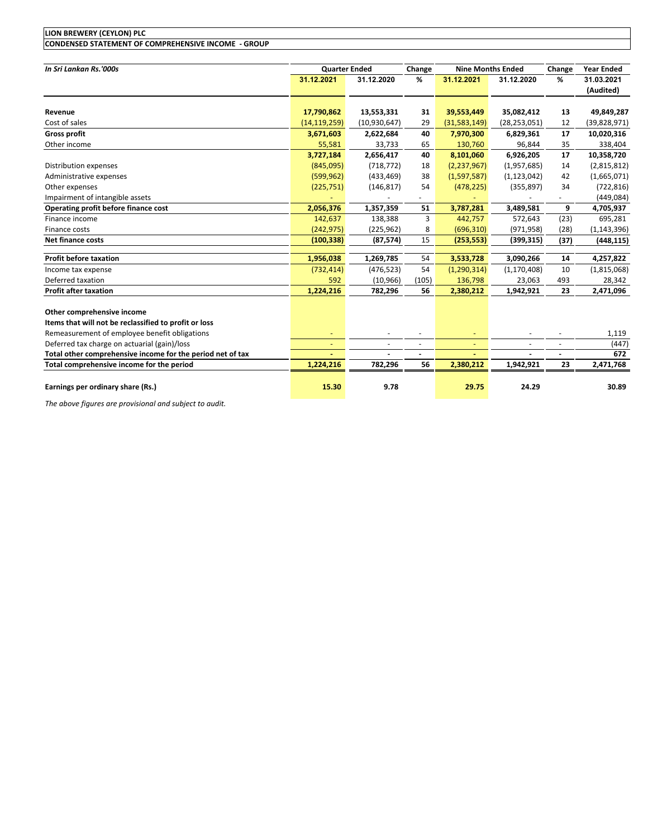| ، LON) PLC<br><b>LION BREWERY</b><br><b>FVI</b><br>' IL.                                         |  |
|--------------------------------------------------------------------------------------------------|--|
| - GROUP<br><b>CONDENSED</b><br>.<br><b>COMPREHENSIVE</b><br>י STATEMEN<br>`OMI<br>OF '<br>∠ INC′ |  |

| In Sri Lankan Rs.'000s                                     | <b>Quarter Ended</b> |                | Change         | <b>Nine Months Ended</b> |                | Change                   | <b>Year Ended</b> |
|------------------------------------------------------------|----------------------|----------------|----------------|--------------------------|----------------|--------------------------|-------------------|
|                                                            | 31.12.2021           | 31.12.2020     | %              | 31.12.2021               | 31.12.2020     | %                        | 31.03.2021        |
|                                                            |                      |                |                |                          |                |                          | (Audited)         |
|                                                            |                      |                |                |                          |                |                          |                   |
| Revenue                                                    | 17,790,862           | 13,553,331     | 31             | 39,553,449               | 35,082,412     | 13                       | 49,849,287        |
| Cost of sales                                              | (14, 119, 259)       | (10, 930, 647) | 29             | (31,583,149)             | (28, 253, 051) | 12                       | (39,828,971)      |
| <b>Gross profit</b>                                        | 3,671,603            | 2,622,684      | 40             | 7,970,300                | 6,829,361      | 17                       | 10,020,316        |
| Other income                                               | 55,581               | 33,733         | 65             | 130,760                  | 96,844         | 35                       | 338,404           |
|                                                            | 3,727,184            | 2,656,417      | 40             | 8,101,060                | 6,926,205      | 17                       | 10,358,720        |
| Distribution expenses                                      | (845,095)            | (718, 772)     | 18             | (2, 237, 967)            | (1,957,685)    | 14                       | (2,815,812)       |
| Administrative expenses                                    | (599, 962)           | (433, 469)     | 38             | (1,597,587)              | (1, 123, 042)  | 42                       | (1,665,071)       |
| Other expenses                                             | (225, 751)           | (146, 817)     | 54             | (478, 225)               | (355, 897)     | 34                       | (722, 816)        |
| Impairment of intangible assets                            |                      |                |                |                          |                |                          | (449, 084)        |
| Operating profit before finance cost                       | 2,056,376            | 1,357,359      | 51             | 3,787,281                | 3,489,581      | 9                        | 4,705,937         |
| Finance income                                             | 142,637              | 138,388        | 3              | 442,757                  | 572,643        | (23)                     | 695,281           |
| Finance costs                                              | (242, 975)           | (225, 962)     | 8              | (696, 310)               | (971, 958)     | (28)                     | (1, 143, 396)     |
| <b>Net finance costs</b>                                   | (100, 338)           | (87, 574)      | 15             | (253, 553)               | (399, 315)     | (37)                     | (448, 115)        |
|                                                            |                      |                |                |                          |                |                          |                   |
| <b>Profit before taxation</b>                              | 1,956,038            | 1,269,785      | 54             | 3,533,728                | 3,090,266      | 14                       | 4,257,822         |
| Income tax expense                                         | (732, 414)           | (476, 523)     | 54             | (1,290,314)              | (1, 170, 408)  | 10                       | (1,815,068)       |
| Deferred taxation                                          | 592                  | (10, 966)      | (105)          | 136,798                  | 23,063         | 493                      | 28,342            |
| <b>Profit after taxation</b>                               | 1,224,216            | 782,296        | 56             | 2,380,212                | 1,942,921      | 23                       | 2,471,096         |
|                                                            |                      |                |                |                          |                |                          |                   |
| Other comprehensive income                                 |                      |                |                |                          |                |                          |                   |
| Items that will not be reclassified to profit or loss      |                      |                |                |                          |                |                          |                   |
| Remeasurement of employee benefit obligations              |                      |                |                |                          |                |                          | 1,119             |
| Deferred tax charge on actuarial (gain)/loss               | ٠                    |                | $\overline{a}$ | ٠                        |                | $\overline{\phantom{a}}$ | (447)             |
| Total other comprehensive income for the period net of tax |                      |                | $\blacksquare$ |                          |                | $\overline{\phantom{a}}$ | 672               |
| Total comprehensive income for the period                  | 1,224,216            | 782,296        | 56             | 2,380,212                | 1,942,921      | 23                       | 2,471,768         |
|                                                            |                      |                |                |                          |                |                          |                   |
| Earnings per ordinary share (Rs.)                          | 15.30                | 9.78           |                | 29.75                    | 24.29          |                          | 30.89             |

*The above figures are provisional and subject to audit.*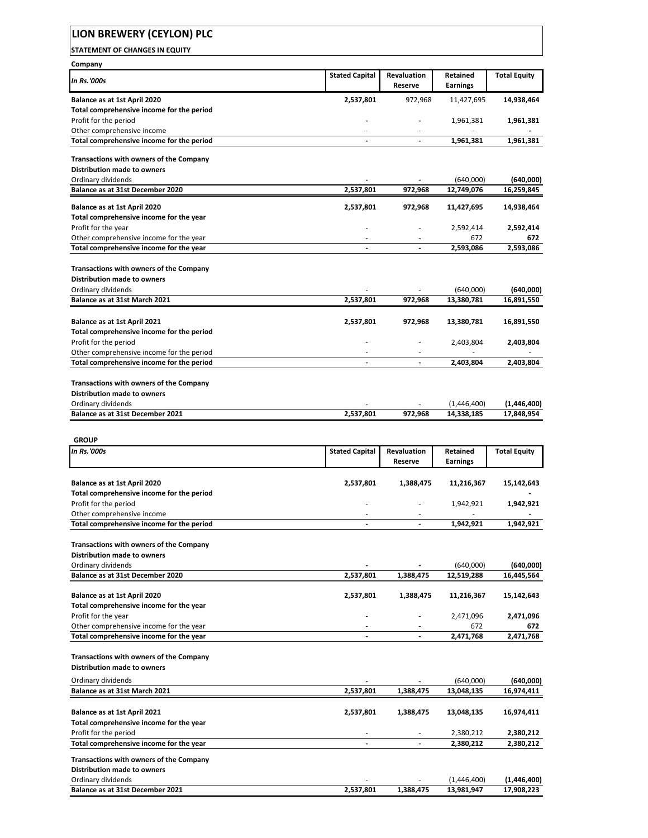# **LION BREWERY (CEYLON) PLC**

**STATEMENT OF CHANGES IN EQUITY**

| Company                                                                                |                          |                          |                             |                           |
|----------------------------------------------------------------------------------------|--------------------------|--------------------------|-----------------------------|---------------------------|
| In Rs.'000s                                                                            | <b>Stated Capital</b>    | Revaluation              | Retained                    | <b>Total Equity</b>       |
|                                                                                        |                          | Reserve                  | Earnings                    |                           |
| Balance as at 1st April 2020                                                           | 2,537,801                | 972,968                  | 11,427,695                  | 14,938,464                |
| Total comprehensive income for the period                                              |                          |                          |                             |                           |
| Profit for the period                                                                  |                          | $\overline{\phantom{a}}$ | 1,961,381                   | 1,961,381                 |
| Other comprehensive income                                                             | ٠                        |                          |                             |                           |
| Total comprehensive income for the period                                              | $\overline{\phantom{a}}$ | $\blacksquare$           | 1,961,381                   | 1,961,381                 |
| Transactions with owners of the Company                                                |                          |                          |                             |                           |
| <b>Distribution made to owners</b>                                                     |                          |                          |                             |                           |
| Ordinary dividends                                                                     |                          |                          | (640,000)                   | (640,000)                 |
| Balance as at 31st December 2020                                                       | 2,537,801                | 972.968                  | 12,749,076                  | 16,259,845                |
|                                                                                        |                          |                          |                             |                           |
| Balance as at 1st April 2020<br>Total comprehensive income for the year                | 2,537,801                | 972,968                  | 11,427,695                  | 14,938,464                |
| Profit for the year                                                                    |                          |                          | 2,592,414                   | 2,592,414                 |
| Other comprehensive income for the year                                                |                          |                          | 672                         | 672                       |
| Total comprehensive income for the year                                                | $\blacksquare$           | $\overline{\phantom{a}}$ | 2,593,086                   | 2,593,086                 |
|                                                                                        |                          |                          |                             |                           |
| Transactions with owners of the Company                                                |                          |                          |                             |                           |
| <b>Distribution made to owners</b>                                                     |                          |                          |                             |                           |
| Ordinary dividends                                                                     |                          |                          | (640,000)                   | (640,000)                 |
| Balance as at 31st March 2021                                                          | 2,537,801                | 972,968                  | 13,380,781                  | 16,891,550                |
|                                                                                        |                          |                          |                             |                           |
| Balance as at 1st April 2021                                                           | 2,537,801                | 972,968                  | 13,380,781                  | 16,891,550                |
| Total comprehensive income for the period                                              |                          |                          |                             |                           |
| Profit for the period                                                                  |                          |                          | 2,403,804                   | 2,403,804                 |
| Other comprehensive income for the period<br>Total comprehensive income for the period | $\overline{\phantom{a}}$ | $\overline{\phantom{a}}$ |                             | 2,403,804                 |
|                                                                                        |                          |                          | 2,403,804                   |                           |
| Transactions with owners of the Company                                                |                          |                          |                             |                           |
| <b>Distribution made to owners</b>                                                     |                          |                          |                             |                           |
| Ordinary dividends                                                                     |                          |                          | (1,446,400)                 | (1,446,400)               |
| Balance as at 31st December 2021                                                       | 2,537,801                | 972,968                  | 14,338,185                  | 17,848,954                |
|                                                                                        |                          |                          |                             |                           |
|                                                                                        |                          |                          |                             |                           |
|                                                                                        |                          |                          |                             |                           |
| <b>GROUP</b>                                                                           |                          |                          |                             |                           |
| In Rs.'000s                                                                            | <b>Stated Capital</b>    | Revaluation<br>Reserve   | Retained<br><b>Earnings</b> | <b>Total Equity</b>       |
|                                                                                        |                          |                          |                             |                           |
| Balance as at 1st April 2020                                                           | 2,537,801                | 1,388,475                | 11,216,367                  | 15,142,643                |
| Total comprehensive income for the period                                              |                          |                          |                             |                           |
| Profit for the period                                                                  |                          |                          | 1,942,921                   | 1,942,921                 |
| Other comprehensive income                                                             |                          |                          |                             |                           |
| Total comprehensive income for the period                                              |                          |                          | 1,942,921                   | 1,942,921                 |
|                                                                                        |                          |                          |                             |                           |
| Transactions with owners of the Company                                                |                          |                          |                             |                           |
| <b>Distribution made to owners</b>                                                     |                          |                          |                             |                           |
| Ordinary dividends                                                                     |                          |                          | (640,000)                   | (640,000)                 |
| Balance as at 31st December 2020                                                       | 2,537,801                | 1,388,475                | 12,519,288                  | 16,445,564                |
| Balance as at 1st April 2020                                                           | 2,537,801                | 1,388,475                | 11,216,367                  | 15,142,643                |
| Total comprehensive income for the year                                                |                          |                          |                             |                           |
| Profit for the year                                                                    |                          |                          | 2,471,096                   | 2,471,096                 |
| Other comprehensive income for the year                                                |                          |                          | 672                         | 672                       |
| Total comprehensive income for the year                                                |                          | $\blacksquare$           | 2,471,768                   | 2,471,768                 |
|                                                                                        |                          |                          |                             |                           |
| Transactions with owners of the Company                                                |                          |                          |                             |                           |
| <b>Distribution made to owners</b>                                                     |                          |                          |                             |                           |
| Ordinary dividends                                                                     |                          |                          | (640,000)                   | (640,000)                 |
| Balance as at 31st March 2021                                                          | 2,537,801                | 1,388,475                | 13,048,135                  | 16,974,411                |
|                                                                                        |                          |                          |                             |                           |
| Balance as at 1st April 2021                                                           | 2,537,801                | 1,388,475                | 13,048,135                  | 16,974,411                |
| Total comprehensive income for the year                                                |                          |                          |                             |                           |
| Profit for the period                                                                  | $\blacksquare$           | $\overline{\phantom{a}}$ | 2,380,212                   | 2,380,212                 |
| Total comprehensive income for the year                                                |                          |                          | 2,380,212                   | 2,380,212                 |
| Transactions with owners of the Company                                                |                          |                          |                             |                           |
| <b>Distribution made to owners</b>                                                     |                          |                          |                             |                           |
| Ordinary dividends<br>Balance as at 31st December 2021                                 | 2,537,801                | 1,388,475                | (1,446,400)<br>13,981,947   | (1,446,400)<br>17,908,223 |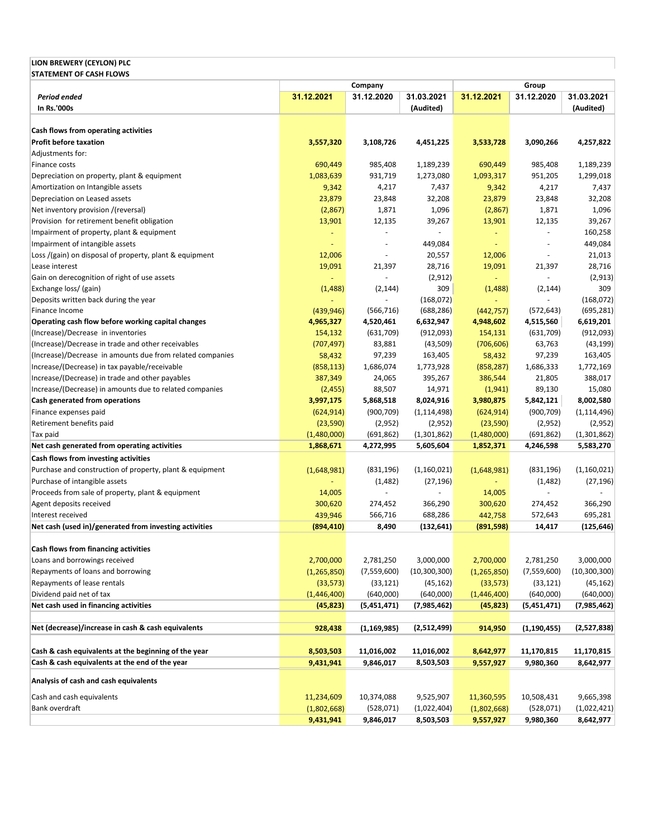### **LION BREWERY (CEYLON) PLC STATEMENT OF CASH FLOWS**

|                                                                                                        | Company                  |                          | Group                   |                          |                          |                         |
|--------------------------------------------------------------------------------------------------------|--------------------------|--------------------------|-------------------------|--------------------------|--------------------------|-------------------------|
| Period ended<br>In Rs.'000s                                                                            | 31.12.2021               | 31.12.2020               | 31.03.2021<br>(Audited) | 31.12.2021               | 31.12.2020               | 31.03.2021<br>(Audited) |
|                                                                                                        |                          |                          |                         |                          |                          |                         |
| Cash flows from operating activities                                                                   |                          |                          |                         |                          |                          |                         |
| <b>Profit before taxation</b>                                                                          | 3,557,320                | 3,108,726                | 4,451,225               | 3,533,728                | 3,090,266                | 4,257,822               |
| Adjustments for:                                                                                       |                          |                          |                         |                          |                          |                         |
| Finance costs                                                                                          | 690,449                  | 985,408                  | 1,189,239               | 690,449                  | 985,408                  | 1,189,239               |
| Depreciation on property, plant & equipment                                                            | 1,083,639                | 931,719                  | 1,273,080               | 1,093,317                | 951,205                  | 1,299,018               |
| Amortization on Intangible assets                                                                      | 9,342                    | 4,217                    | 7,437                   | 9,342                    | 4,217                    | 7,437                   |
| Depreciation on Leased assets                                                                          | 23,879                   | 23,848                   | 32,208                  | 23,879                   | 23,848                   | 32,208                  |
| Net inventory provision /(reversal)                                                                    | (2,867)                  | 1,871                    | 1,096                   | (2,867)                  | 1,871                    | 1,096                   |
| Provision for retirement benefit obligation                                                            | 13,901                   | 12,135                   | 39,267                  | 13,901                   | 12,135                   | 39,267                  |
| Impairment of property, plant & equipment                                                              | $\overline{\phantom{a}}$ | $\overline{\phantom{a}}$ |                         | ÷                        |                          | 160,258                 |
| Impairment of intangible assets                                                                        | $\blacksquare$           | $\overline{a}$           | 449,084                 | $\overline{\phantom{a}}$ | $\sim$                   | 449,084                 |
| Loss /(gain) on disposal of property, plant & equipment                                                | 12,006                   |                          | 20,557                  | 12,006                   | $\overline{\phantom{a}}$ | 21,013                  |
| Lease interest                                                                                         | 19,091                   | 21,397                   | 28,716                  | 19,091                   | 21,397                   | 28,716                  |
| Gain on derecognition of right of use assets                                                           |                          |                          | (2,912)                 |                          |                          | (2,913)                 |
| Exchange loss/ (gain)                                                                                  | (1,488)                  | (2, 144)                 | 309                     | (1,488)                  | (2, 144)                 | 309                     |
| Deposits written back during the year                                                                  | ÷                        |                          | (168, 072)              |                          |                          | (168,072)               |
| Finance Income                                                                                         | (439, 946)               | (566, 716)               | (688, 286)              | (442, 757)               | (572, 643)               | (695, 281)              |
| Operating cash flow before working capital changes                                                     | 4,965,327                | 4,520,461                | 6,632,947               | 4,948,602                | 4,515,560                | 6,619,201               |
| (Increase)/Decrease in inventories                                                                     | 154,132                  | (631,709)                | (912,093)               | 154,131                  | (631,709)                | (912,093)               |
| (Increase)/Decrease in trade and other receivables                                                     | (707, 497)               | 83,881                   | (43,509)                | (706, 606)               | 63,763                   | (43, 199)               |
| (Increase)/Decrease in amounts due from related companies                                              | 58,432                   | 97,239                   | 163,405                 | 58,432                   | 97,239                   | 163,405                 |
| Increase/(Decrease) in tax payable/receivable                                                          | (858, 113)               | 1,686,074                | 1,773,928               | (858, 287)               | 1,686,333                | 1,772,169               |
| Increase/(Decrease) in trade and other payables                                                        | 387,349                  | 24,065                   | 395,267                 | 386,544                  | 21,805                   | 388,017                 |
| Increase/(Decrease) in amounts due to related companies                                                | (2, 455)                 | 88,507                   | 14,971                  | (1, 941)                 | 89,130                   | 15,080                  |
| Cash generated from operations                                                                         | 3,997,175                | 5,868,518                | 8,024,916               | 3,980,875                | 5,842,121                | 8,002,580               |
| Finance expenses paid                                                                                  | (624, 914)               | (900, 709)               | (1, 114, 498)           | (624, 914)               | (900, 709)               | (1, 114, 496)           |
| Retirement benefits paid                                                                               | (23, 590)                | (2,952)                  | (2,952)                 | (23,590)                 | (2,952)                  | (2,952)                 |
| Tax paid                                                                                               | (1,480,000)              | (691, 862)               | (1,301,862)             | (1,480,000)              | (691, 862)               | (1,301,862)             |
| Net cash generated from operating activities                                                           | 1,868,671                | 4,272,995                | 5,605,604               | 1,852,371                | 4,246,598                | 5,583,270               |
| Cash flows from investing activities                                                                   |                          |                          |                         |                          |                          |                         |
| Purchase and construction of property, plant & equipment                                               | (1,648,981)              | (831, 196)               | (1,160,021)             | (1,648,981)              | (831, 196)               | (1,160,021)             |
| Purchase of intangible assets                                                                          |                          | (1,482)                  | (27, 196)               |                          | (1,482)                  | (27, 196)               |
| Proceeds from sale of property, plant & equipment                                                      | 14,005                   |                          |                         | 14,005                   |                          |                         |
| Agent deposits received                                                                                | 300,620                  | 274,452                  | 366,290                 | 300,620                  | 274,452                  | 366,290                 |
| Interest received<br>Net cash (used in)/generated from investing activities                            | 439,946                  | 566,716                  | 688,286                 | 442,758                  | 572,643                  | 695,281                 |
|                                                                                                        | (894, 410)               | 8,490                    | (132, 641)              | (891, 598)               | 14,417                   | (125, 646)              |
| Cash flows from financing activities                                                                   |                          |                          |                         |                          |                          |                         |
| Loans and borrowings received                                                                          | 2,700,000                | 2,781,250                | 3,000,000               | 2,700,000                | 2,781,250                | 3,000,000               |
| Repayments of loans and borrowing                                                                      | (1, 265, 850)            | (7,559,600)              | (10, 300, 300)          | (1, 265, 850)            | (7,559,600)              | (10, 300, 300)          |
| Repayments of lease rentals                                                                            | (33, 573)                | (33, 121)                | (45, 162)               | (33, 573)                | (33, 121)                | (45, 162)               |
| Dividend paid net of tax                                                                               | (1,446,400)              | (640,000)                | (640,000)               | (1,446,400)              | (640,000)                | (640,000)               |
| Net cash used in financing activities                                                                  | (45, 823)                | (5,451,471)              | (7,985,462)             | (45, 823)                | (5,451,471)              | (7,985,462)             |
|                                                                                                        |                          |                          |                         |                          |                          |                         |
| Net (decrease)/increase in cash & cash equivalents                                                     | 928,438                  | (1, 169, 985)            | (2,512,499)             | 914,950                  | (1, 190, 455)            | (2,527,838)             |
|                                                                                                        |                          |                          |                         |                          |                          |                         |
| Cash & cash equivalents at the beginning of the year<br>Cash & cash equivalents at the end of the year | 8,503,503                | 11,016,002<br>9,846,017  | 11,016,002<br>8,503,503 | 8,642,977                | 11,170,815               | 11,170,815<br>8,642,977 |
|                                                                                                        | 9,431,941                |                          |                         | 9,557,927                | 9,980,360                |                         |
| Analysis of cash and cash equivalents                                                                  |                          |                          |                         |                          |                          |                         |
| Cash and cash equivalents                                                                              | 11,234,609               | 10,374,088               | 9,525,907               | 11,360,595               | 10,508,431               | 9,665,398               |
| Bank overdraft                                                                                         | (1,802,668)              | (528,071)                | (1,022,404)             | (1,802,668)              | (528,071)                | (1,022,421)             |
|                                                                                                        | 9,431,941                | 9,846,017                | 8,503,503               | 9,557,927                | 9,980,360                | 8,642,977               |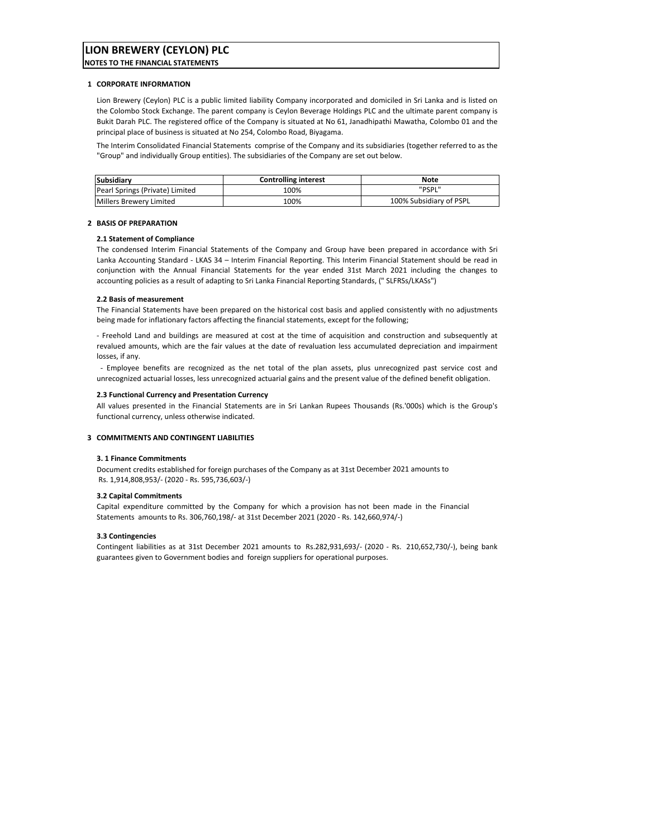# **LION BREWERY (CEYLON) PLC**

**NOTES TO THE FINANCIAL STATEMENTS**

#### **1 CORPORATE INFORMATION**

Lion Brewery (Ceylon) PLC is a public limited liability Company incorporated and domiciled in Sri Lanka and is listed on the Colombo Stock Exchange. The parent company is Ceylon Beverage Holdings PLC and the ultimate parent company is Bukit Darah PLC. The registered office of the Company is situated at No 61, Janadhipathi Mawatha, Colombo 01 and the principal place of business is situated at No 254, Colombo Road, Biyagama.

The Interim Consolidated Financial Statements comprise of the Company and its subsidiaries (together referred to as the "Group" and individually Group entities). The subsidiaries of the Company are set out below.

| Subsidiary                      | <b>Controlling interest</b> | Note                    |
|---------------------------------|-----------------------------|-------------------------|
| Pearl Springs (Private) Limited | 100%                        | "PSPL"                  |
| Millers Brewery Limited         | 100%                        | 100% Subsidiary of PSPL |

#### **2 BASIS OF PREPARATION**

#### **2.1 Statement of Compliance**

The condensed Interim Financial Statements of the Company and Group have been prepared in accordance with Sri Lanka Accounting Standard ‐ LKAS 34 – Interim Financial Reporting. This Interim Financial Statement should be read in conjunction with the Annual Financial Statements for the year ended 31st March 2021 including the changes to accounting policies as a result of adapting to Sri Lanka Financial Reporting Standards, (" SLFRSs/LKASs")

#### **2.2 Basis of measurement**

The Financial Statements have been prepared on the historical cost basis and applied consistently with no adjustments being made for inflationary factors affecting the financial statements, except for the following;

‐ Freehold Land and buildings are measured at cost at the time of acquisition and construction and subsequently at revalued amounts, which are the fair values at the date of revaluation less accumulated depreciation and impairment losses, if any.

‐ Employee benefits are recognized as the net total of the plan assets, plus unrecognized past service cost and unrecognized actuarial losses, less unrecognized actuarial gains and the present value of the defined benefit obligation.

#### **2.3 Functional Currency and Presentation Currency**

All values presented in the Financial Statements are in Sri Lankan Rupees Thousands (Rs.'000s) which is the Group's functional currency, unless otherwise indicated.

#### **3 COMMITMENTS AND CONTINGENT LIABILITIES**

#### **3. 1 Finance Commitments**

Document credits established for foreign purchases of the Company as at 31st December 2021 amounts to Rs. 1,914,808,953/‐ (2020 ‐ Rs. 595,736,603/‐)

#### **3.2 Capital Commitments**

Capital expenditure committed by the Company for which a provision has not been made in the Financial Statements amounts to Rs. 306,760,198/‐ at 31st December 2021 (2020 ‐ Rs. 142,660,974/‐)

#### **3.3 Contingencies**

Contingent liabilities as at 31st December 2021 amounts to Rs.282,931,693/‐ (2020 ‐ Rs. 210,652,730/‐), being bank guarantees given to Government bodies and foreign suppliers for operational purposes.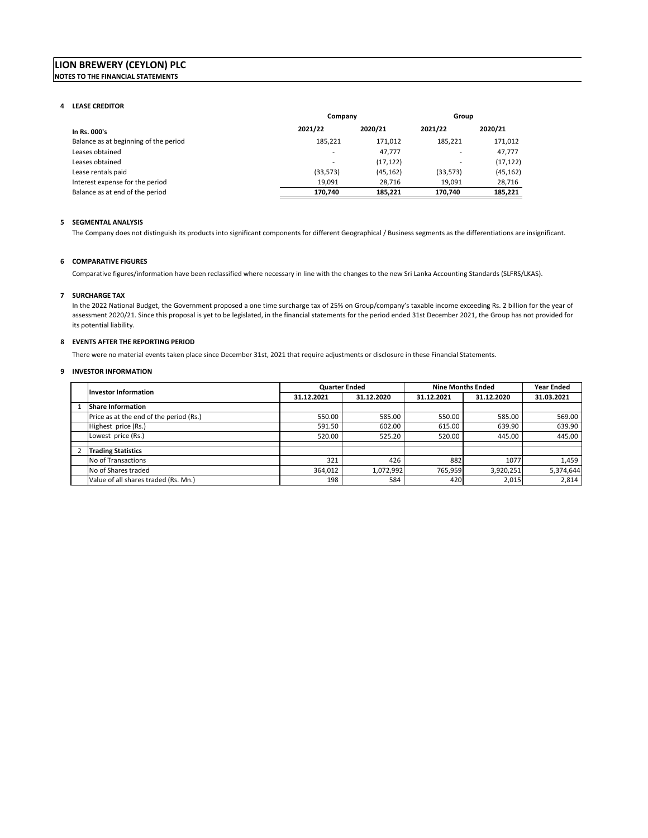### **LION BREWERY (CEYLON) PLC NOTES TO THE FINANCIAL STATEMENTS**

#### **4 LEASE CREDITOR**

|                                       | Company   |           | Group     |           |
|---------------------------------------|-----------|-----------|-----------|-----------|
| In Rs. 000's                          | 2021/22   | 2020/21   | 2021/22   | 2020/21   |
| Balance as at beginning of the period | 185.221   | 171.012   | 185.221   | 171,012   |
| Leases obtained                       |           | 47.777    | -         | 47,777    |
| Leases obtained                       | ۰.        | (17, 122) | ۰         | (17, 122) |
| Lease rentals paid                    | (33, 573) | (45, 162) | (33, 573) | (45, 162) |
| Interest expense for the period       | 19.091    | 28.716    | 19.091    | 28,716    |
| Balance as at end of the period       | 170.740   | 185.221   | 170.740   | 185,221   |

#### **5 SEGMENTAL ANALYSIS**

The Company does not distinguish its products into significant components for different Geographical / Business segments as the differentiations are insignificant.

#### **6 COMPARATIVE FIGURES**

Comparative figures/information have been reclassified where necessary in line with the changes to the new Sri Lanka Accounting Standards (SLFRS/LKAS).

#### **7 SURCHARGE TAX**

In the 2022 National Budget, the Government proposed a one time surcharge tax of 25% on Group/company's taxable income exceeding Rs. 2 billion for the year of assessment 2020/21. Since this proposal is yet to be legislated, in the financial statements for the period ended 31st December 2021, the Group has not provided for its potential liability.

#### **8 EVENTS AFTER THE REPORTING PERIOD**

There were no material events taken place since December 31st, 2021 that require adjustments or disclosure in these Financial Statements.

#### **9 INVESTOR INFORMATION**

| <b>Investor Information</b>             | <b>Quarter Ended</b> |            | <b>Nine Months Ended</b> | <b>Year Ended</b> |            |
|-----------------------------------------|----------------------|------------|--------------------------|-------------------|------------|
|                                         | 31.12.2021           | 31.12.2020 | 31.12.2021               | 31.12.2020        | 31.03.2021 |
| <b>Share Information</b>                |                      |            |                          |                   |            |
| Price as at the end of the period (Rs.) | 550.00               | 585.00     | 550.00                   | 585.00            | 569.00     |
| Highest price (Rs.)                     | 591.50               | 602.00     | 615.00                   | 639.90            | 639.90     |
| Lowest price (Rs.)                      | 520.00               | 525.20     | 520.00                   | 445.00            | 445.00     |
| <b>Trading Statistics</b>               |                      |            |                          |                   |            |
|                                         |                      |            |                          |                   |            |
| No of Transactions                      | 321                  | 426        | 882                      | 1077              | 1,459      |
| No of Shares traded                     | 364,012              | 1,072,992  | 765.959                  | 3,920,251         | 5,374,644  |
| Value of all shares traded (Rs. Mn.)    | 198                  | 584        | 420                      | 2,015             | 2,814      |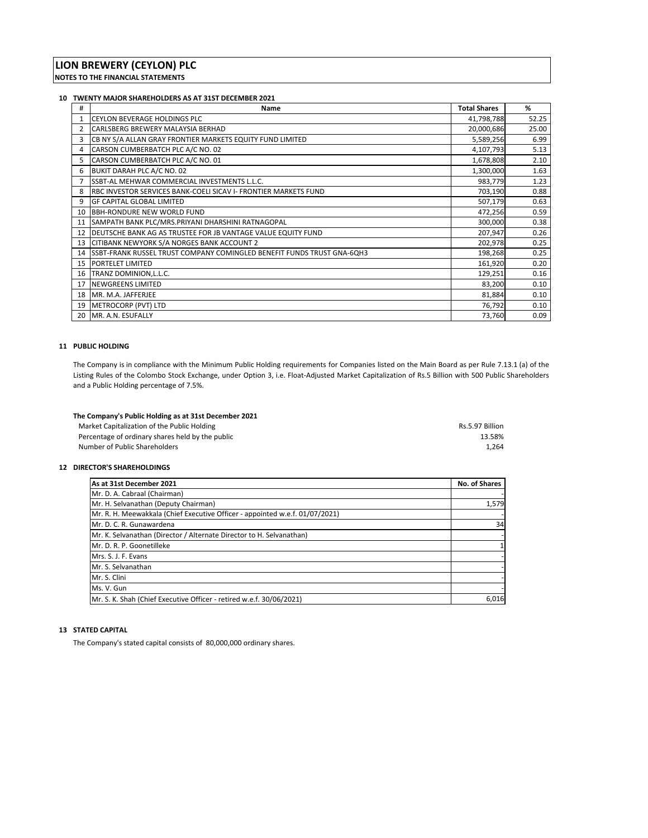#### **10 TWENTY MAJOR SHAREHOLDERS AS AT 31ST DECEMBER 2021**

| #  | <b>Name</b>                                                               | <b>Total Shares</b> | %     |
|----|---------------------------------------------------------------------------|---------------------|-------|
|    | <b>CEYLON BEVERAGE HOLDINGS PLC</b>                                       | 41,798,788          | 52.25 |
| 2  | CARLSBERG BREWERY MALAYSIA BERHAD                                         | 20,000,686          | 25.00 |
|    | CB NY S/A ALLAN GRAY FRONTIER MARKETS EQUITY FUND LIMITED                 | 5,589,256           | 6.99  |
| 4  | CARSON CUMBERBATCH PLC A/C NO. 02                                         | 4,107,793           | 5.13  |
| 5  | CARSON CUMBERBATCH PLC A/C NO. 01                                         | 1,678,808           | 2.10  |
| 6  | BUKIT DARAH PLC A/C NO. 02                                                | 1,300,000           | 1.63  |
|    | SSBT-AL MEHWAR COMMERCIAL INVESTMENTS L.L.C.                              | 983,779             | 1.23  |
| 8  | <b>IRBC INVESTOR SERVICES BANK-COELI SICAV I- FRONTIER MARKETS FUND</b>   | 703,190             | 0.88  |
| 9  | IGF CAPITAL GLOBAL LIMITED                                                | 507,179             | 0.63  |
|    | 10 BBH-RONDURE NEW WORLD FUND                                             | 472,256             | 0.59  |
| 11 | SAMPATH BANK PLC/MRS.PRIYANI DHARSHINI RATNAGOPAL                         | 300,000             | 0.38  |
| 12 | DEUTSCHE BANK AG AS TRUSTEE FOR JB VANTAGE VALUE EQUITY FUND              | 207,947             | 0.26  |
| 13 | CITIBANK NEWYORK S/A NORGES BANK ACCOUNT 2                                | 202,978             | 0.25  |
|    | 14 SSBT-FRANK RUSSEL TRUST COMPANY COMINGLED BENEFIT FUNDS TRUST GNA-6QH3 | 198,268             | 0.25  |
| 15 | <b>PORTELET LIMITED</b>                                                   | 161,920             | 0.20  |
| 16 | TRANZ DOMINION, L.L.C.                                                    | 129,251             | 0.16  |
| 17 | <b>NEWGREENS LIMITED</b>                                                  | 83,200              | 0.10  |
| 18 | MR. M.A. JAFFERJEE                                                        | 81,884              | 0.10  |
| 19 | METROCORP (PVT) LTD                                                       | 76,792              | 0.10  |
| 20 | MR. A.N. ESUFALLY                                                         | 73,760              | 0.09  |

#### **11 PUBLIC HOLDING**

The Company is in compliance with the Minimum Public Holding requirements for Companies listed on the Main Board as per Rule 7.13.1 (a) of the Listing Rules of the Colombo Stock Exchange, under Option 3, i.e. Float‐Adjusted Market Capitalization of Rs.5 Billion with 500 Public Shareholders and a Public Holding percentage of 7.5%.

| The Company's Public Holding as at 31st December 2021 |                 |
|-------------------------------------------------------|-----------------|
| Market Capitalization of the Public Holding           | Rs.5.97 Billion |
| Percentage of ordinary shares held by the public      | 13.58%          |
| Number of Public Shareholders                         | 1.264           |

#### **12 DIRECTOR'S SHAREHOLDINGS**

| As at 31st December 2021                                                     | <b>No. of Shares</b> |
|------------------------------------------------------------------------------|----------------------|
| Mr. D. A. Cabraal (Chairman)                                                 |                      |
| Mr. H. Selvanathan (Deputy Chairman)                                         | 1,579                |
| Mr. R. H. Meewakkala (Chief Executive Officer - appointed w.e.f. 01/07/2021) |                      |
| Mr. D. C. R. Gunawardena                                                     | 34                   |
| Mr. K. Selvanathan (Director / Alternate Director to H. Selvanathan)         |                      |
| Mr. D. R. P. Goonetilleke                                                    |                      |
| Mrs. S. J. F. Evans                                                          |                      |
| Mr. S. Selvanathan                                                           |                      |
| Mr. S. Clini                                                                 |                      |
| Ms. V. Gun                                                                   |                      |
| Mr. S. K. Shah (Chief Executive Officer - retired w.e.f. 30/06/2021)         | 6.016                |

### **13 STATED CAPITAL**

The Company's stated capital consists of 80,000,000 ordinary shares.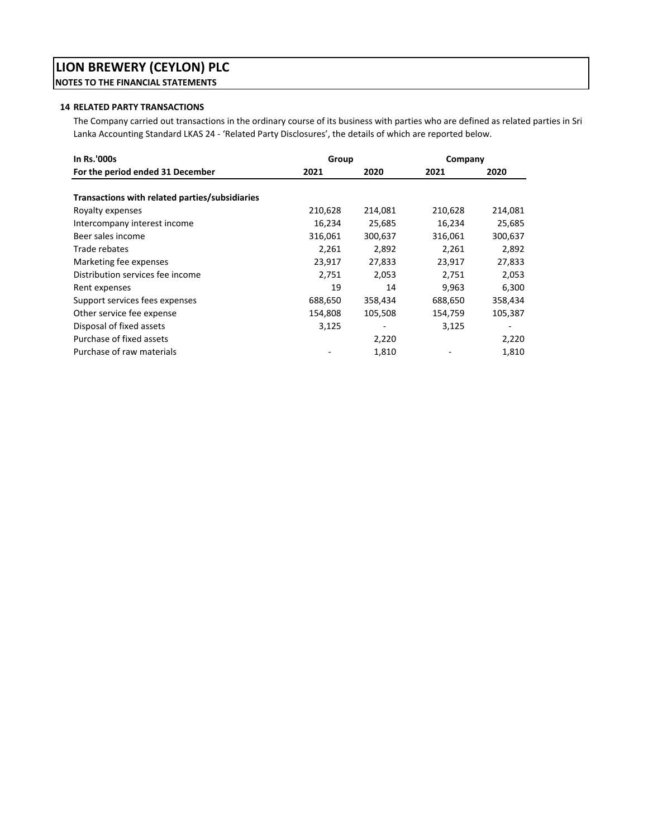# **LION BREWERY (CEYLON) PLC NOTES TO THE FINANCIAL STATEMENTS**

### **14 RELATED PARTY TRANSACTIONS**

The Company carried out transactions in the ordinary course of its business with parties who are defined as related parties in Sri Lanka Accounting Standard LKAS 24 ‐ 'Related Party Disclosures', the details of which are reported below.

| In Rs.'000s                                    | Group   |         | Company |         |
|------------------------------------------------|---------|---------|---------|---------|
| For the period ended 31 December               | 2021    | 2020    | 2021    | 2020    |
| Transactions with related parties/subsidiaries |         |         |         |         |
| Royalty expenses                               | 210,628 | 214,081 | 210,628 | 214,081 |
| Intercompany interest income                   | 16,234  | 25,685  | 16,234  | 25,685  |
| Beer sales income                              | 316,061 | 300,637 | 316,061 | 300,637 |
| Trade rebates                                  | 2,261   | 2,892   | 2,261   | 2,892   |
| Marketing fee expenses                         | 23,917  | 27,833  | 23,917  | 27,833  |
| Distribution services fee income               | 2,751   | 2,053   | 2,751   | 2,053   |
| Rent expenses                                  | 19      | 14      | 9,963   | 6,300   |
| Support services fees expenses                 | 688,650 | 358,434 | 688,650 | 358,434 |
| Other service fee expense                      | 154,808 | 105,508 | 154,759 | 105,387 |
| Disposal of fixed assets                       | 3,125   |         | 3,125   |         |
| Purchase of fixed assets                       |         | 2,220   |         | 2,220   |
| Purchase of raw materials                      |         | 1,810   |         | 1,810   |